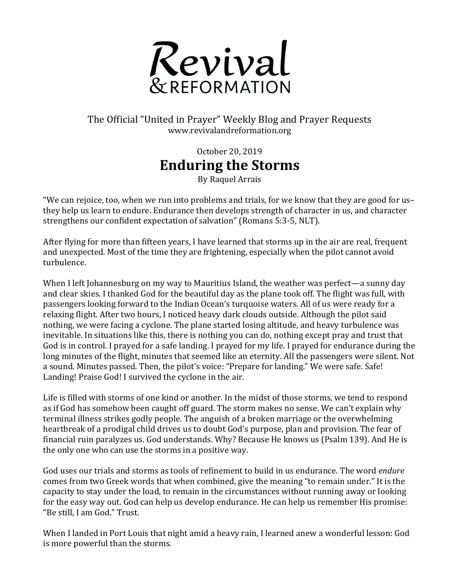

## The Official "United in Prayer" Weekly Blog and Prayer Requests www.revivalandreformation.org

October 20, 2019 **Enduring the Storms**

By Raquel Arrais

"We can rejoice, too, when we run into problems and trials, for we know that they are good for usthey help us learn to endure. Endurance then develops strength of character in us, and character strengthens our confident expectation of salvation" (Romans 5:3-5, NLT).

After flying for more than fifteen years, I have learned that storms up in the air are real, frequent and unexpected. Most of the time they are frightening, especially when the pilot cannot avoid turbulence. 

When I left Johannesburg on my way to Mauritius Island, the weather was perfect—a sunny day and clear skies. I thanked God for the beautiful day as the plane took off. The flight was full, with passengers looking forward to the Indian Ocean's turquoise waters. All of us were ready for a relaxing flight. After two hours, I noticed heavy dark clouds outside. Although the pilot said nothing, we were facing a cyclone. The plane started losing altitude, and heavy turbulence was inevitable. In situations like this, there is nothing you can do, nothing except pray and trust that God is in control. I prayed for a safe landing. I prayed for my life. I prayed for endurance during the long minutes of the flight, minutes that seemed like an eternity. All the passengers were silent. Not a sound. Minutes passed. Then, the pilot's voice: "Prepare for landing." We were safe. Safe! Landing! Praise God! I survived the cyclone in the air.

Life is filled with storms of one kind or another. In the midst of those storms, we tend to respond as if God has somehow been caught off guard. The storm makes no sense. We can't explain why terminal illness strikes godly people. The anguish of a broken marriage or the overwhelming heartbreak of a prodigal child drives us to doubt God's purpose, plan and provision. The fear of financial ruin paralyzes us. God understands. Why? Because He knows us (Psalm 139). And He is the only one who can use the storms in a positive way.

God uses our trials and storms as tools of refinement to build in us endurance. The word *endure* comes from two Greek words that when combined, give the meaning "to remain under." It is the capacity to stay under the load, to remain in the circumstances without running away or looking for the easy way out. God can help us develop endurance. He can help us remember His promise: "Be still, I am God." Trust.

When I landed in Port Louis that night amid a heavy rain, I learned anew a wonderful lesson: God is more powerful than the storms.